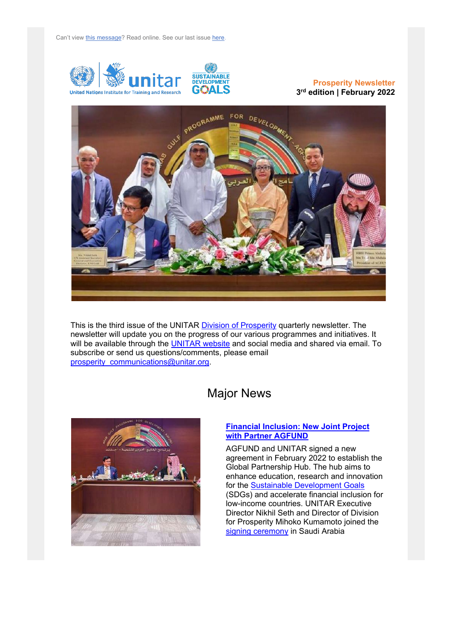

## **Prosperity Newsletter 3rd edition | February 2022**



This is the third issue of the UNITAR [Division of Prosperity](https://www.unitar.org/sustainable-development-goals/prosperity) quarterly newsletter. The newsletter will update you on the progress of our various programmes and initiatives. It will be available through the [UNITAR website](https://unitar.org/sustainable-development-goals/prosperity/newsletter) and social media and shared via email. To subscribe or send us questions/comments, please email [prosperity\\_communications@unitar.org.](mailto:prosperity_communications@unitar.org?subject=Inquiry)



## Major News

### **[Financial Inclusion: New Joint Project](http://unitar.org/about/news-stories/featuredarticles/unitar-and-agfund-signed-agreement-establish-global-partnership-hub)  [with Partner AGFUND](http://unitar.org/about/news-stories/featuredarticles/unitar-and-agfund-signed-agreement-establish-global-partnership-hub)**

AGFUND and UNITAR signed a new agreement in February 2022 to establish the Global Partnership Hub. The hub aims to enhance education, research and innovation for the [Sustainable Development Goals](https://sdgs.un.org/goals) (SDGs) and accelerate financial inclusion for low-income countries. UNITAR Executive Director Nikhil Seth and Director of Division for Prosperity Mihoko Kumamoto joined the [signing ceremony](https://agfund.org/en/mediaCenter/news/view/81) in Saudi Arabia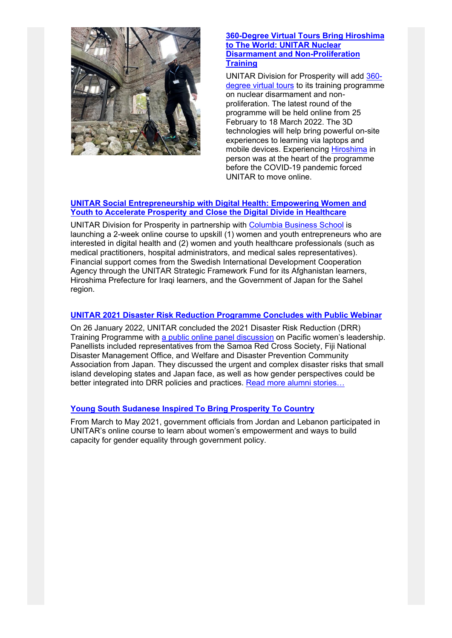

### **[360-Degree Virtual Tours Bring Hiroshima](https://www.unitar.org/about/news-stories/news/360-degree-virtual-tours-bring-hiroshima-world-unitar-nuclear-disarmament-and-non-proliferation)  [to The World: UNITAR Nuclear](https://www.unitar.org/about/news-stories/news/360-degree-virtual-tours-bring-hiroshima-world-unitar-nuclear-disarmament-and-non-proliferation)  [Disarmament and Non-Proliferation](https://www.unitar.org/about/news-stories/news/360-degree-virtual-tours-bring-hiroshima-world-unitar-nuclear-disarmament-and-non-proliferation)  [Training](https://www.unitar.org/about/news-stories/news/360-degree-virtual-tours-bring-hiroshima-world-unitar-nuclear-disarmament-and-non-proliferation)**

UNITAR Division for Prosperity will add [360](https://www.unitar.org/about/news-stories/news/360-degree-virtual-tours-bring-hiroshima-world-unitar-nuclear-disarmament-and-non-proliferation) [degree virtual tours](https://www.unitar.org/about/news-stories/news/360-degree-virtual-tours-bring-hiroshima-world-unitar-nuclear-disarmament-and-non-proliferation) to its training programme on nuclear disarmament and nonproliferation. The latest round of the programme will be held online from 25 February to 18 March 2022. The 3D technologies will help bring powerful on-site experiences to learning via laptops and mobile devices. Experiencing [Hiroshima](https://www.pref.hiroshima.lg.jp/) in person was at the heart of the programme before the COVID-19 pandemic forced UNITAR to move online.

## **[UNITAR Social Entrepreneurship with Digital Health: Empowering Women and](https://unitar.org/about/news-stories/news/call-applications-empowering-women-iraq-accelerate-prosperity-and-close-digital-divide-healthcare)  [Youth to Accelerate Prosperity and Close the Digital Divide in Healthcare](https://unitar.org/about/news-stories/news/call-applications-empowering-women-iraq-accelerate-prosperity-and-close-digital-divide-healthcare)**

UNITAR Division for Prosperity in partnership with [Columbia Business School](https://home.gsb.columbia.edu/) is launching a 2-week online course to upskill (1) women and youth entrepreneurs who are interested in digital health and (2) women and youth healthcare professionals (such as medical practitioners, hospital administrators, and medical sales representatives). Financial support comes from the Swedish International Development Cooperation Agency through the UNITAR Strategic Framework Fund for its Afghanistan learners, Hiroshima Prefecture for Iraqi learners, and the Government of Japan for the Sahel region.

## **[UNITAR 2021 Disaster Risk Reduction Programme Concludes with Public Webinar](https://www.youtube.com/watch?v=bggqn50mHYA&t=1332s)**

On 26 January 2022, UNITAR concluded the 2021 Disaster Risk Reduction (DRR) Training Programme with [a public online panel discussion](https://www.youtube.com/watch?v=bggqn50mHYA&t=1332s) on Pacific women's leadership. Panellists included representatives from the Samoa Red Cross Society, Fiji National Disaster Management Office, and Welfare and Disaster Prevention Community Association from Japan. They discussed the urgent and complex disaster risks that small island developing states and Japan face, as well as how gender perspectives could be better integrated into DRR policies and practices. [Read more alumni stories…](https://unitar.org/about/news-stories/news/unitar-alumnae-report-situation-tonga-following-volcanic-eruption-and-tsunami)

## **[Young South Sudanese Inspired To Bring Prosperity To Country](https://www.unitar.org/about/news-stories/news/young-south-sudanese-women-inspired-bring-prosperity-country-entrepreneurship-and-project-planning)**

From March to May 2021, government officials from Jordan and Lebanon participated in UNITAR's online course to learn about women's empowerment and ways to build capacity for gender equality through government policy.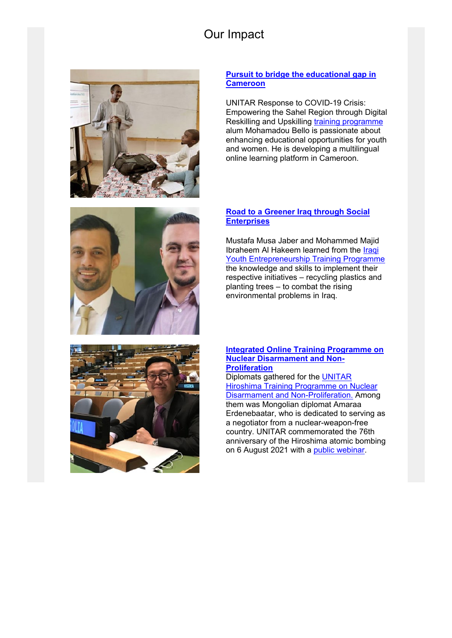# Our Impact





## **[Pursuit to bridge the educational gap in](https://www.unitar.org/about/news-stories/stories/building-better-cameroon-tackling-illiteracy-through-technology)  [Cameroon](https://www.unitar.org/about/news-stories/stories/building-better-cameroon-tackling-illiteracy-through-technology)**

UNITAR Response to COVID-19 Crisis: Empowering the Sahel Region through Digital Reskilling and Upskilling [training programme](https://www.unitar.org/about/news-stories/news/2022-sahel-region-digital-reskilling-and-upskilling-programme-open-applications) alum Mohamadou Bello is passionate about enhancing educational opportunities for youth and women. He is developing a multilingual online learning platform in Cameroon.

## **[Road to a Greener Iraq through Social](https://www.unitar.org/about/news-stories/news/unitar-alumni-developing-social-enterprises-tackle-climate-change-iraq)  [Enterprises](https://www.unitar.org/about/news-stories/news/unitar-alumni-developing-social-enterprises-tackle-climate-change-iraq)**

Mustafa Musa Jaber and Mohammed Majid Ibraheem Al Hakeem learned from the [Iraqi](https://unitar.org/sustainable-development-goals/prosperity/our-portfolio/entrepreneurship-and-private-sector-development/unitar-iraq-fellowship-programme)  [Youth Entrepreneurship Training Programme](https://unitar.org/sustainable-development-goals/prosperity/our-portfolio/entrepreneurship-and-private-sector-development/unitar-iraq-fellowship-programme) the knowledge and skills to implement their respective initiatives – recycling plastics and planting trees – to combat the rising environmental problems in Iraq.



#### **[Integrated Online Training Programme on](https://www.unitar.org/about/news-stories/stories/towards-world-free-nuclear-weapons-mongolian-alum-gears-negotiations)  [Nuclear Disarmament and Non-](https://www.unitar.org/about/news-stories/stories/towards-world-free-nuclear-weapons-mongolian-alum-gears-negotiations)[Proliferation](https://www.unitar.org/about/news-stories/stories/towards-world-free-nuclear-weapons-mongolian-alum-gears-negotiations)**

Diplomats gathered for the [UNITAR](https://unitar.org/sustainable-development-goals/prosperity/our-portfolio/hiroshima-and-peace/unitar-hiroshima-nuclear-disarmament-and-non-proliferation-training)  [Hiroshima Training Programme on Nuclear](https://unitar.org/sustainable-development-goals/prosperity/our-portfolio/hiroshima-and-peace/unitar-hiroshima-nuclear-disarmament-and-non-proliferation-training)  [Disarmament and Non-Proliferation.](https://unitar.org/sustainable-development-goals/prosperity/our-portfolio/hiroshima-and-peace/unitar-hiroshima-nuclear-disarmament-and-non-proliferation-training) Among them was Mongolian diplomat Amaraa Erdenebaatar, who is dedicated to serving as a negotiator from a nuclear-weapon-free country. UNITAR commemorated the 76th anniversary of the Hiroshima atomic bombing on 6 August 2021 with a [public webinar.](https://www.unitar.org/about/news-stories/news/hiroshima-initiatives-global-call-action-nuclear-weapon-abolishment-and-sustainable-future)